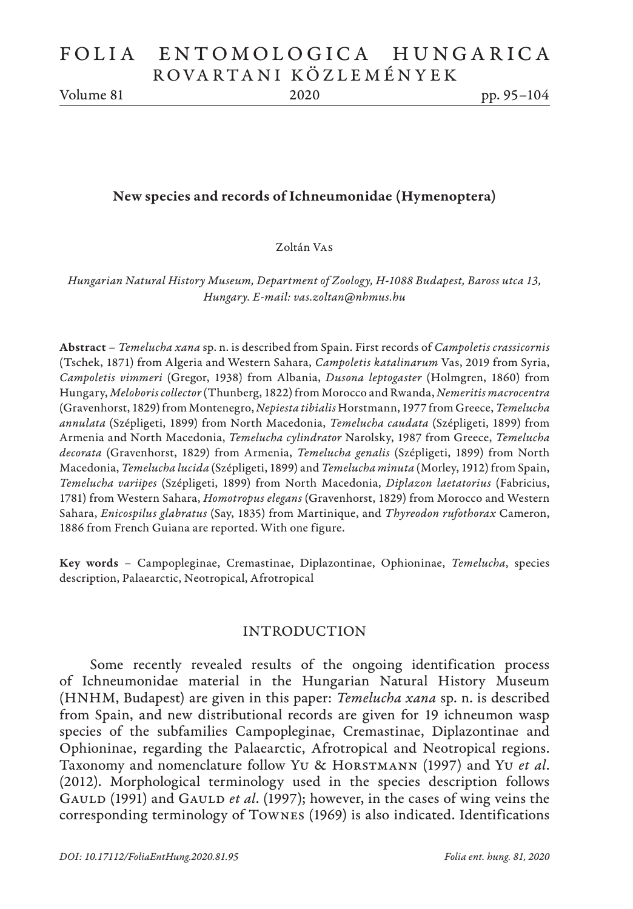Volume 81 2020 pp. 95–104

## New species and records of Ichneumonidae (Hymenoptera)

Zoltán Vas

*Hungarian Natural History Museum, Department of Zoology, H-1088 Budapest, Baross utca 13, Hungary. E-mail: vas.zoltan@nhmus.hu*

Abstract – *Temelucha xana* sp. n. is described from Spain. First records of *Campoletis crassicornis*  (Tschek, 1871) from Algeria and Western Sahara, *Campoletis katalinarum* Vas, 2019 from Syria, *Campoletis vimmeri* (Gregor, 1938) from Albania, *Dusona leptogaster* (Holmgren, 1860) from Hungary, *Meloboris collector* (Thunberg, 1822) from Morocco and Rwanda, *Nemeritis macrocentra* (Gravenhorst, 1829) from Montenegro, *Nepiesta tibialis* Horstmann, 1977 from Greece, *Temelucha annulata* (Szépligeti, 1899) from North Macedonia, *Temelucha caudata* (Szépligeti, 1899) from Armenia and North Macedonia, *Temelucha cylindrator* Narolsky, 1987 from Greece, *Temelucha decorata* (Gravenhorst, 1829) from Armenia, *Temelucha genalis* (Szépligeti, 1899) from North Macedonia, *Temelucha lucida* (Szépligeti, 1899) and *Temelucha minuta* (Morley, 1912) from Spain, *Temelucha variipes* (Szépligeti, 1899) from North Macedonia, *Diplazon laetatorius* (Fabricius, 1781) from Western Sahara, *Homotropus elegans* (Gravenhorst, 1829) from Morocco and Western Sahara, *Enicospilus glabratus* (Say, 1835) from Martinique, and *Thyreodon rufothorax* Cameron, 1886 from French Guiana are reported. With one figure.

Key words – Campopleginae, Cremastinae, Diplazontinae, Ophioninae, *Temelucha*, species description, Palaearctic, Neotropical, Afrotropical

#### INTRODUCTION

Some recently revealed results of the ongoing identification process of Ichneumonidae material in the Hungarian Natural History Museum (HNHM, Budapest) are given in this paper: *Temelucha xana* sp. n. is described from Spain, and new distributional records are given for 19 ichneumon wasp species of the subfamilies Campopleginae, Cremastinae, Diplazontinae and Ophioninae, regarding the Palaearctic, Afrotropical and Neotropical regions. Taxonomy and nomenclature follow Yu & Horstmann (1997) and Yu *et al*. (2012). Morphological terminology used in the species description follows GAULD (1991) and GAULD *et al.* (1997); however, in the cases of wing veins the corresponding terminology of Townes (1969) is also indicated. Identifications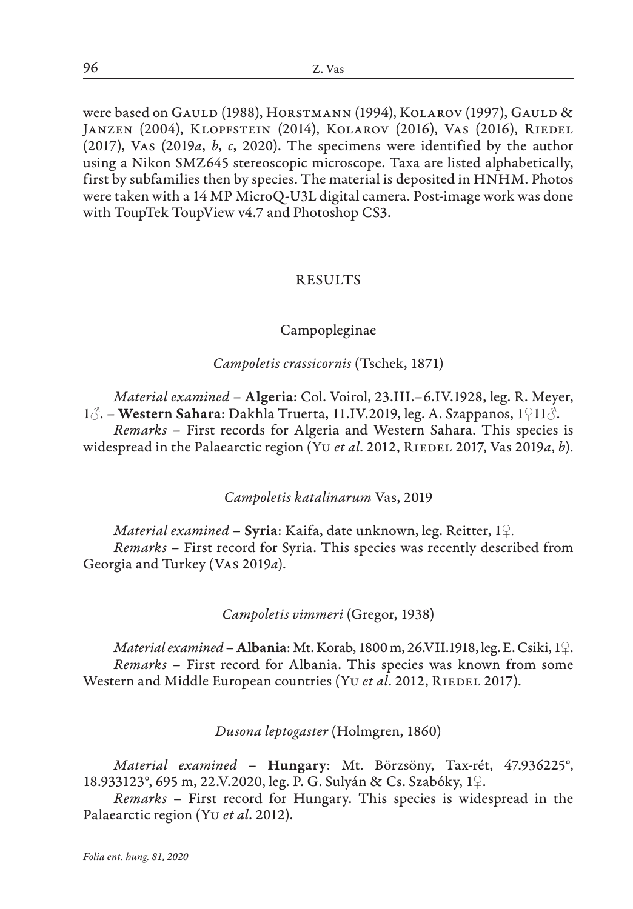were based on GAULD (1988), HORSTMANN (1994), KOLAROV (1997), GAULD & Janzen (2004), Klopfstein (2014), Kolarov (2016), Vas (2016), Riedel (2017), Vas (2019*a*, *b*, *c*, 2020). The specimens were identified by the author using a Nikon SMZ645 stereoscopic microscope. Taxa are listed alphabetically, first by subfamilies then by species. The material is deposited in HNHM. Photos were taken with a 14 MP MicroQ-U3L digital camera. Post-image work was done with ToupTek ToupView v4.7 and Photoshop CS3.

# RESULTS

# Campopleginae

*Campoletis crassicornis* (Tschek, 1871)

*Material examined* – Algeria: Col. Voirol, 23.III.–6.IV.1928, leg. R. Meyer, 1♂. – Western Sahara: Dakhla Truerta, 11.IV.2019, leg. A. Szappanos, 1♀11♂. *Remarks* – First records for Algeria and Western Sahara. This species is widespread in the Palaearctic region (Yu et al. 2012, RIEDEL 2017, Vas 2019a, b).

*Campoletis katalinarum* Vas, 2019

*Material examined* – Syria: Kaifa, date unknown, leg. Reitter, 1♀. *Remarks* – First record for Syria. This species was recently described from Georgia and Turkey (Vas 2019*a*).

*Campoletis vimmeri* (Gregor, 1938)

*Material examined* – Albania: Mt. Korab, 1800 m, 26.VII.1918, leg. E. Csiki, 1♀. *Remarks* – First record for Albania. This species was known from some Western and Middle European countries (Yu *et al.* 2012, RIEDEL 2017).

*Dusona leptogaster* (Holmgren, 1860)

*Material examined* – Hungary: Mt. Börzsöny, Tax-rét, 47.936225°, 18.933123°, 695 m, 22.V.2020, leg. P. G. Sulyán & Cs. Szabóky, 1♀.

*Remarks* – First record for Hungary. This species is widespread in the Palaearctic region (Yu *et al*. 2012).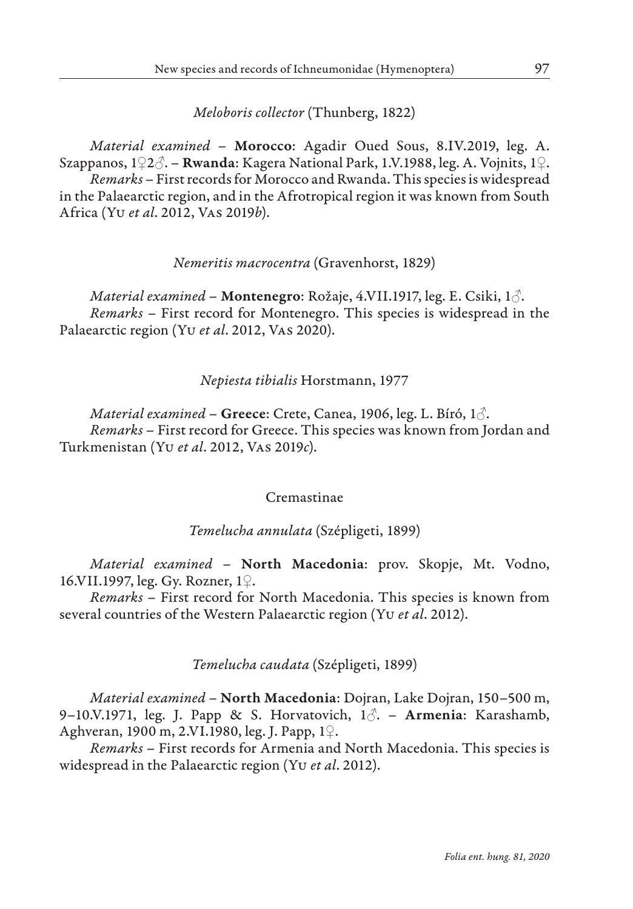# *Meloboris collector* (Thunberg, 1822)

*Material examined* – Morocco: Agadir Oued Sous, 8.IV.2019, leg. A. Szappanos, 1♀2♂. – Rwanda: Kagera National Park, 1.V.1988, leg. A. Vojnits, 1♀. *Remarks* – First records for Morocco and Rwanda. This species is widespread in the Palaearctic region, and in the Afrotropical region it was known from South Africa (Yu *et al*. 2012, Vas 2019*b*).

# *Nemeritis macrocentra* (Gravenhorst, 1829)

*Material examined* – Montenegro: Rožaje, 4.VII.1917, leg. E. Csiki, 1♂. *Remarks* – First record for Montenegro. This species is widespread in the Palaearctic region (Yu *et al*. 2012, Vas 2020).

# *Nepiesta tibialis* Horstmann, 1977

*Material examined* – Greece: Crete, Canea, 1906, leg. L. Bíró, 1♂. *Remarks* – First record for Greece. This species was known from Jordan and Turkmenistan (Yu *et al*. 2012, Vas 2019*c*).

#### Cremastinae

# *Temelucha annulata* (Szépligeti, 1899)

*Material examined* – North Macedonia: prov. Skopje, Mt. Vodno, 16.VII.1997, leg. Gy. Rozner, 1♀.

*Remarks* – First record for North Macedonia. This species is known from several countries of the Western Palaearctic region (Yu *et al*. 2012).

# *Temelucha caudata* (Szépligeti, 1899)

*Material examined* – North Macedonia: Dojran, Lake Dojran, 150–500 m, 9–10.V.1971, leg. J. Papp & S. Horvatovich,  $1\delta$ . – Armenia: Karashamb, Aghveran, 1900 m, 2.VI.1980, leg. J. Papp, 1♀.

*Remarks* – First records for Armenia and North Macedonia. This species is widespread in the Palaearctic region (Yu *et al*. 2012).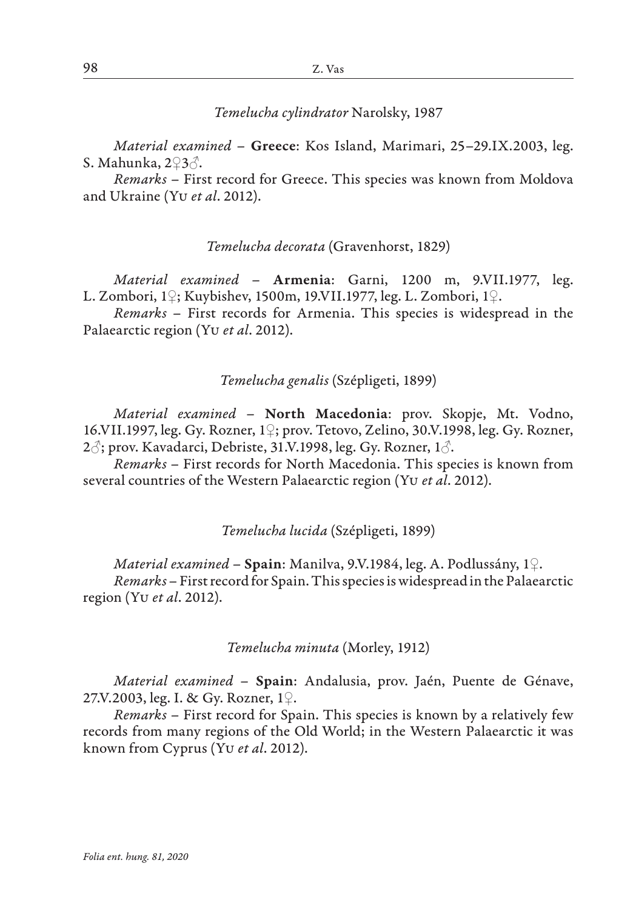*Temelucha cylindrator* Narolsky, 1987

*Material examined* – Greece: Kos Island, Marimari, 25–29.IX.2003, leg. S. Mahunka, 2♀3♂.

*Remarks* – First record for Greece. This species was known from Moldova and Ukraine (Yu *et al*. 2012).

## *Temelucha decorata* (Gravenhorst, 1829)

*Material examined* – Armenia: Garni, 1200 m, 9.VII.1977, leg. L. Zombori, 1♀; Kuybishev, 1500m, 19.VII.1977, leg. L. Zombori, 1♀.

*Remarks* – First records for Armenia. This species is widespread in the Palaearctic region (Yu *et al*. 2012).

## *Temelucha genalis* (Szépligeti, 1899)

*Material examined* – North Macedonia: prov. Skopje, Mt. Vodno, 16.VII.1997, leg. Gy. Rozner, 1♀; prov. Tetovo, Zelino, 30.V.1998, leg. Gy. Rozner, 2 $\beta$ ; prov. Kavadarci, Debriste, 31.V.1998, leg. Gy. Rozner, 1 $\beta$ .

*Remarks* – First records for North Macedonia. This species is known from several countries of the Western Palaearctic region (Yu *et al*. 2012).

#### *Temelucha lucida* (Szépligeti, 1899)

*Material examined* – Spain: Manilva, 9.V.1984, leg. A. Podlussány, 1♀. *Remarks* – First record for Spain. This species is widespread in the Palaearctic region (Yu *et al*. 2012).

#### *Temelucha minuta* (Morley, 1912)

*Material examined* – Spain: Andalusia, prov. Jaén, Puente de Génave, 27.V.2003, leg. I. & Gy. Rozner, 1♀.

*Remarks* – First record for Spain. This species is known by a relatively few records from many regions of the Old World; in the Western Palaearctic it was known from Cyprus (Yu *et al*. 2012).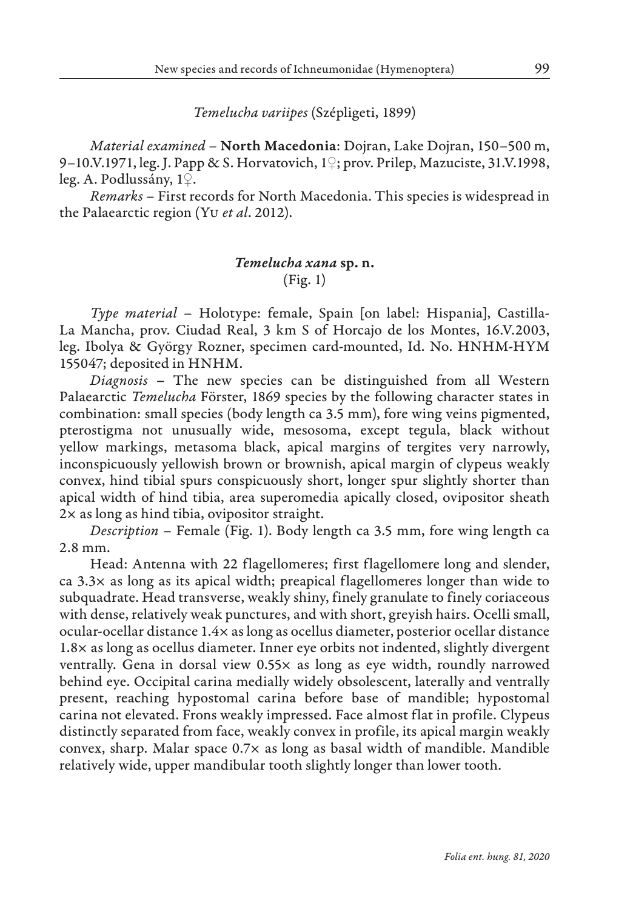*Temelucha variipes* (Szépligeti, 1899)

*Material examined* – North Macedonia: Dojran, Lake Dojran, 150–500 m, 9–10.V.1971, leg. J. Papp & S. Horvatovich, 1♀; prov. Prilep, Mazuciste, 31.V.1998, leg. A. Podlussány, 1♀.

*Remarks* – First records for North Macedonia. This species is widespread in the Palaearctic region (Yu *et al*. 2012).

# *Temelucha xana* sp. n. (Fig. 1)

*Type material* – Holotype: female, Spain [on label: Hispania], Castilla-La Mancha, prov. Ciudad Real, 3 km S of Horcajo de los Montes, 16.V.2003, leg. Ibolya & György Rozner, specimen card-mounted, Id. No. HNHM-HYM 155047; deposited in HNHM.

*Diagnosis* – The new species can be distinguished from all Western Palaearctic *Temelucha* Förster, 1869 species by the following character states in combination: small species (body length ca 3.5 mm), fore wing veins pigmented, pterostigma not unusually wide, mesosoma, except tegula, black without yellow markings, metasoma black, apical margins of tergites very narrowly, inconspicuously yellowish brown or brownish, apical margin of clypeus weakly convex, hind tibial spurs conspicuously short, longer spur slightly shorter than apical width of hind tibia, area superomedia apically closed, ovipositor sheath 2× as long as hind tibia, ovipositor straight.

*Description* – Female (Fig. 1). Body length ca 3.5 mm, fore wing length ca 2.8 mm.

Head: Antenna with 22 flagellomeres; first flagellomere long and slender,  $ca$  3.3 $\times$  as long as its apical width; preapical flagellomeres longer than wide to subquadrate. Head transverse, weakly shiny, finely granulate to finely coriaceous with dense, relatively weak punctures, and with short, greyish hairs. Ocelli small, ocular-ocellar distance 1.4× as long as ocellus diameter, posterior ocellar distance 1.8× as long as ocellus diameter. Inner eye orbits not indented, slightly divergent ventrally. Gena in dorsal view 0.55× as long as eye width, roundly narrowed behind eye. Occipital carina medially widely obsolescent, laterally and ventrally present, reaching hypostomal carina before base of mandible; hypostomal carina not elevated. Frons weakly impressed. Face almost flat in profile. Clypeus distinctly separated from face, weakly convex in profile, its apical margin weakly convex, sharp. Malar space 0.7× as long as basal width of mandible. Mandible relatively wide, upper mandibular tooth slightly longer than lower tooth.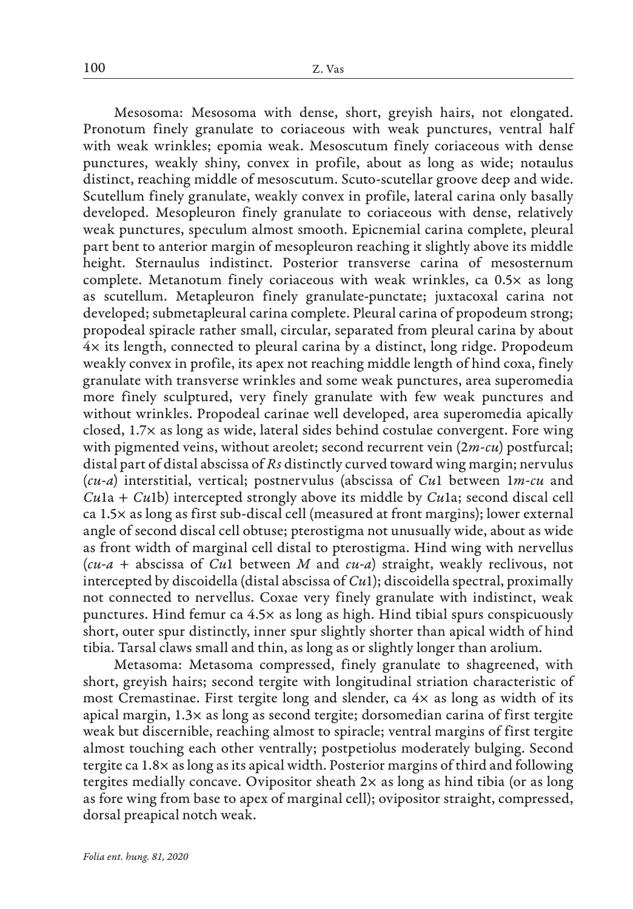Mesosoma: Mesosoma with dense, short, greyish hairs, not elongated. Pronotum finely granulate to coriaceous with weak punctures, ventral half with weak wrinkles; epomia weak. Mesoscutum finely coriaceous with dense punctures, weakly shiny, convex in profile, about as long as wide; notaulus distinct, reaching middle of mesoscutum. Scuto-scutellar groove deep and wide. Scutellum finely granulate, weakly convex in profile, lateral carina only basally developed. Mesopleuron finely granulate to coriaceous with dense, relatively weak punctures, speculum almost smooth. Epicnemial carina complete, pleural part bent to anterior margin of mesopleuron reaching it slightly above its middle height. Sternaulus indistinct. Posterior transverse carina of mesosternum complete. Metanotum finely coriaceous with weak wrinkles, ca 0.5× as long as scutellum. Metapleuron finely granulate-punctate; juxtacoxal carina not developed; submetapleural carina complete. Pleural carina of propodeum strong; propodeal spiracle rather small, circular, separated from pleural carina by about 4× its length, connected to pleural carina by a distinct, long ridge. Propodeum weakly convex in profile, its apex not reaching middle length of hind coxa, finely granulate with transverse wrinkles and some weak punctures, area superomedia more finely sculptured, very finely granulate with few weak punctures and without wrinkles. Propodeal carinae well developed, area superomedia apically closed, 1.7× as long as wide, lateral sides behind costulae convergent. Fore wing with pigmented veins, without areolet; second recurrent vein (2*m-cu*) postfurcal; distal part of distal abscissa of *Rs* distinctly curved toward wing margin; nervulus (*cu-a*) interstitial, vertical; postnervulus (abscissa of *Cu*1 between 1*m-cu* and *Cu*1a + *Cu*1b) intercepted strongly above its middle by *Cu*1a; second discal cell ca 1.5× as long as first sub-discal cell (measured at front margins); lower external angle of second discal cell obtuse; pterostigma not unusually wide, about as wide as front width of marginal cell distal to pterostigma. Hind wing with nervellus (*cu-a* + abscissa of *Cu*1 between *M* and *cu-a*) straight, weakly reclivous, not intercepted by discoidella (distal abscissa of *Cu*1); discoidella spectral, proximally not connected to nervellus. Coxae very finely granulate with indistinct, weak punctures. Hind femur ca 4.5× as long as high. Hind tibial spurs conspicuously short, outer spur distinctly, inner spur slightly shorter than apical width of hind tibia. Tarsal claws small and thin, as long as or slightly longer than arolium.

Metasoma: Metasoma compressed, finely granulate to shagreened, with short, greyish hairs; second tergite with longitudinal striation characteristic of most Cremastinae. First tergite long and slender, ca 4× as long as width of its apical margin, 1.3× as long as second tergite; dorsomedian carina of first tergite weak but discernible, reaching almost to spiracle; ventral margins of first tergite almost touching each other ventrally; postpetiolus moderately bulging. Second tergite ca 1.8× as long as its apical width. Posterior margins of third and following tergites medially concave. Ovipositor sheath  $2\times$  as long as hind tibia (or as long as fore wing from base to apex of marginal cell); ovipositor straight, compressed, dorsal preapical notch weak.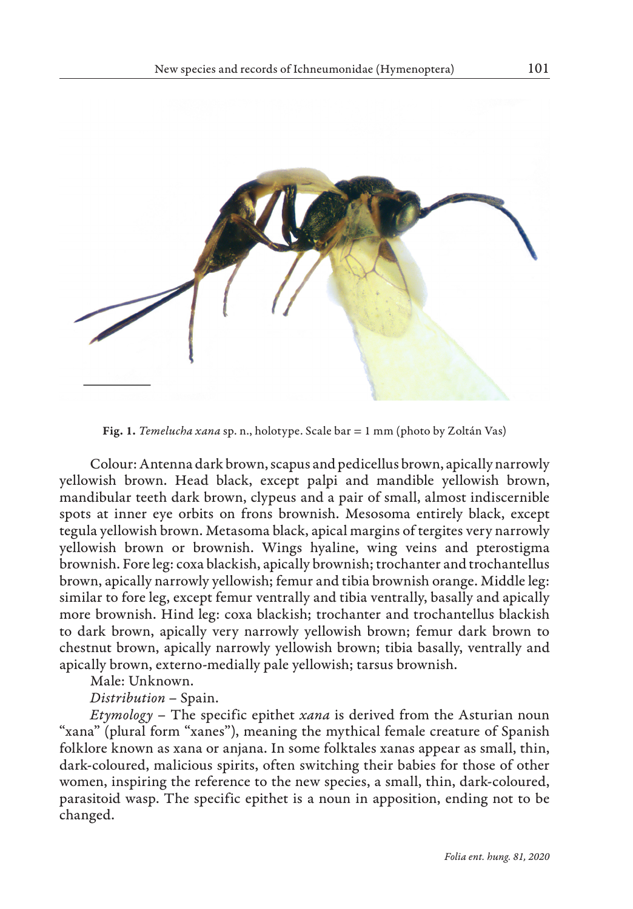

Fig. 1. *Temelucha xana* sp. n., holotype. Scale bar = 1 mm (photo by Zoltán Vas)

Colour: Antenna dark brown, scapus and pedicellus brown, apically narrowly yellowish brown. Head black, except palpi and mandible yellowish brown, mandibular teeth dark brown, clypeus and a pair of small, almost indiscernible spots at inner eye orbits on frons brownish. Mesosoma entirely black, except tegula yellowish brown. Metasoma black, apical margins of tergites very narrowly yellowish brown or brownish. Wings hyaline, wing veins and pterostigma brownish. Fore leg: coxa blackish, apically brownish; trochanter and trochantellus brown, apically narrowly yellowish; femur and tibia brownish orange. Middle leg: similar to fore leg, except femur ventrally and tibia ventrally, basally and apically more brownish. Hind leg: coxa blackish; trochanter and trochantellus blackish to dark brown, apically very narrowly yellowish brown; femur dark brown to chestnut brown, apically narrowly yellowish brown; tibia basally, ventrally and apically brown, externo-medially pale yellowish; tarsus brownish.

Male: Unknown.

*Distribution* – Spain.

*Etymology* – The specific epithet *xana* is derived from the Asturian noun "xana" (plural form "xanes"), meaning the mythical female creature of Spanish folklore known as xana or anjana. In some folktales xanas appear as small, thin, dark-coloured, malicious spirits, often switching their babies for those of other women, inspiring the reference to the new species, a small, thin, dark-coloured, parasitoid wasp. The specific epithet is a noun in apposition, ending not to be changed.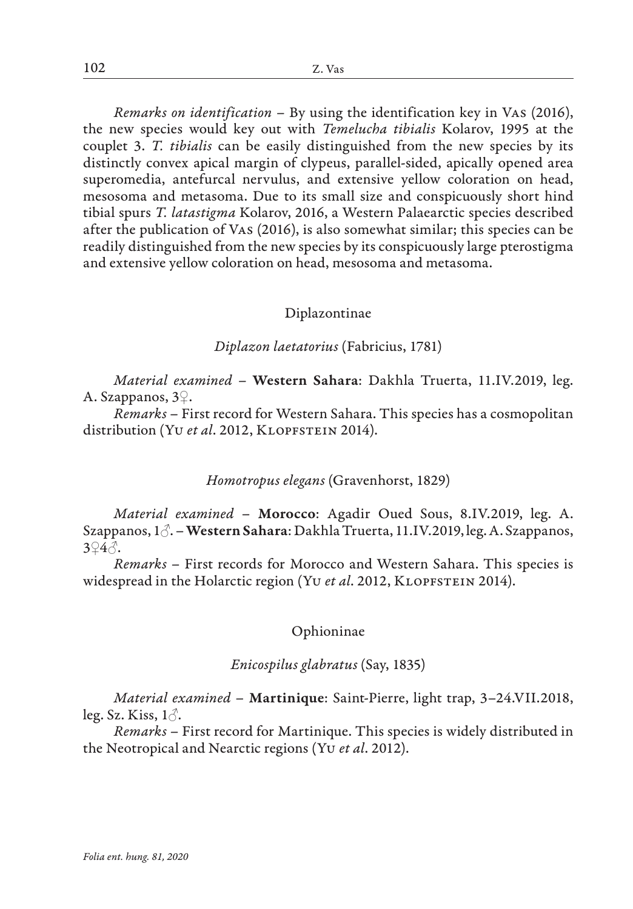*Remarks on identification* – By using the identification key in Vas (2016), the new species would key out with *Temelucha tibialis* Kolarov, 1995 at the couplet 3. *T. tibialis* can be easily distinguished from the new species by its distinctly convex apical margin of clypeus, parallel-sided, apically opened area superomedia, antefurcal nervulus, and extensive yellow coloration on head, mesosoma and metasoma. Due to its small size and conspicuously short hind tibial spurs *T. latastigma* Kolarov, 2016, a Western Palaearctic species described after the publication of Vas (2016), is also somewhat similar; this species can be readily distinguished from the new species by its conspicuously large pterostigma and extensive yellow coloration on head, mesosoma and metasoma.

## Diplazontinae

## *Diplazon laetatorius* (Fabricius, 1781)

*Material examined* – Western Sahara: Dakhla Truerta, 11.IV.2019, leg. A. Szappanos, 3♀.

*Remarks* – First record for Western Sahara. This species has a cosmopolitan distribution (Yu et al. 2012, KLOPFSTEIN 2014).

# *Homotropus elegans* (Gravenhorst, 1829)

*Material examined* – Morocco: Agadir Oued Sous, 8.IV.2019, leg. A. Szappanos, 1♂. – Western Sahara: Dakhla Truerta, 11.IV.2019, leg. A. Szappanos, 3♀4♂.

*Remarks* – First records for Morocco and Western Sahara. This species is widespread in the Holarctic region (Yu et al. 2012, KLOPFSTEIN 2014).

# Ophioninae

# *Enicospilus glabratus* (Say, 1835)

*Material examined* – Martinique: Saint-Pierre, light trap, 3–24.VII.2018, leg. Sz. Kiss,  $1\delta$ .

*Remarks* – First record for Martinique. This species is widely distributed in the Neotropical and Nearctic regions (Yu *et al*. 2012).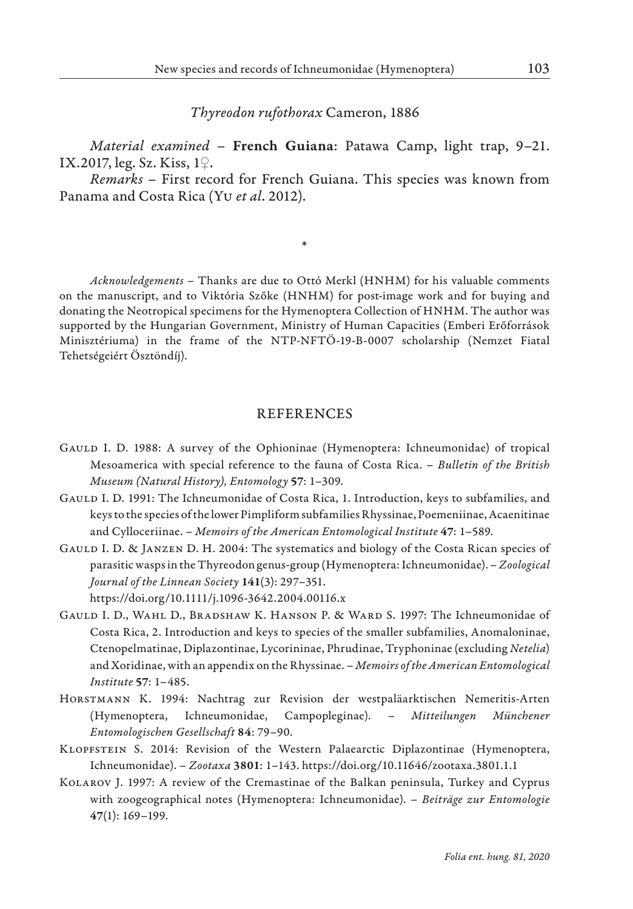*Thyreodon rufothorax* Cameron, 1886

*Material examined* – French Guiana: Patawa Camp, light trap, 9–21. IX.2017, leg. Sz. Kiss, 1♀.

*Remarks* – First record for French Guiana. This species was known from Panama and Costa Rica (Yu *et al*. 2012).

\*

*Acknowledgements* – Thanks are due to Ottó Merkl (HNHM) for his valuable comments on the manuscript, and to Viktória Szőke (HNHM) for post-image work and for buying and donating the Neotropical specimens for the Hymenoptera Collection of HNHM. The author was supported by the Hungarian Government, Ministry of Human Capacities (Emberi Erőforrások Minisztériuma) in the frame of the NTP-NFTÖ-19-B-0007 scholarship (Nemzet Fiatal Tehetségeiért Ösztöndíj).

#### **REFERENCES**

- Gauld I. D. 1988: A survey of the Ophioninae (Hymenoptera: Ichneumonidae) of tropical Mesoamerica with special reference to the fauna of Costa Rica. – *Bulletin of the British Museum (Natural History), Entomology* 57: 1–309.
- Gauld I. D. 1991: The Ichneumonidae of Costa Rica, 1. Introduction, keys to subfamilies, and keys to the species of the lower Pimpliform subfamilies Rhyssinae, Poemeniinae, Acaenitinae and Cylloceriinae. – *Memoirs of the American Entomological Institute* 47: 1–589.
- Gauld I. D. & Janzen D. H. 2004: The systematics and biology of the Costa Rican species of parasitic wasps in the Thyreodon genus-group (Hymenoptera: Ichneumonidae). – *Zoological Journal of the Linnean Society* 141(3): 297–351.

https://doi.org/10.1111/j.1096-3642.2004.00116.x

- Gauld I. D., Wahl D., Bradshaw K. Hanson P. & Ward S. 1997: The Ichneumonidae of Costa Rica, 2. Introduction and keys to species of the smaller subfamilies, Anomaloninae, Ctenopelmatinae, Diplazontinae, Lycorininae, Phrudinae, Tryphoninae (excluding *Netelia*) and Xoridinae, with an appendix on the Rhyssinae. – *Memoirs of the American Entomological Institute* 57: 1–485.
- Horstmann K. 1994: Nachtrag zur Revision der westpaläarktischen Nemeritis-Arten (Hymenoptera, Ichneumonidae, Campopleginae). – *Mitteilungen Münchener Entomologischen Gesellschaft* 84: 79–90.
- Klopfstein S. 2014: Revision of the Western Palaearctic Diplazontinae (Hymenoptera, Ichneumonidae). – *Zootaxa* 3801: 1–143. https://doi.org/10.11646/zootaxa.3801.1.1
- Kolarov J. 1997: A review of the Cremastinae of the Balkan peninsula, Turkey and Cyprus with zoogeographical notes (Hymenoptera: Ichneumonidae). – *Beiträge zur Entomologie* 47(1): 169–199.